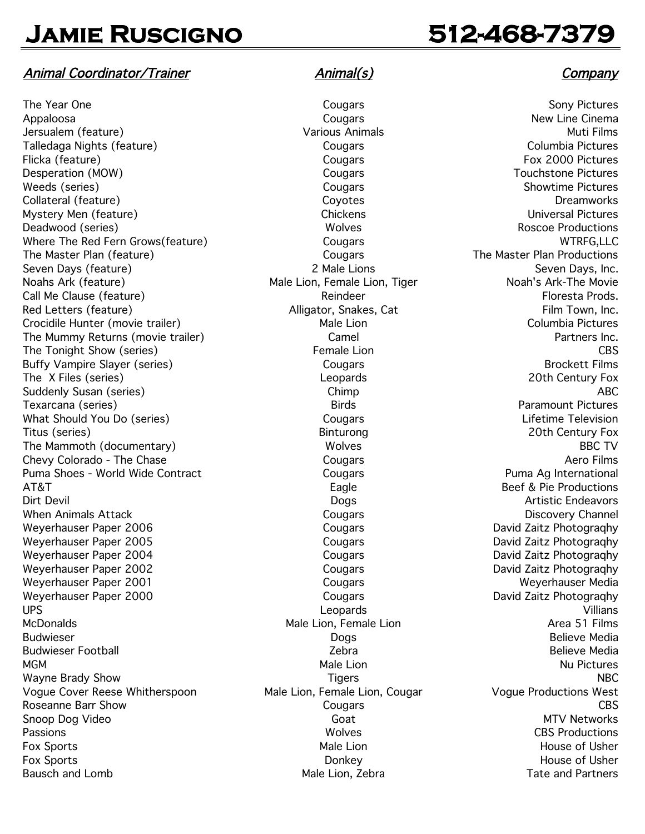## Animal Coordinator/Trainer and Animal(s) and Animal (s) company

The Year One Cougars Cougars Sony Pictures Sony Pictures Appaloosa Cougars New Line Cinema Jersualem (feature) Various Animals Muti Films Talledaga Nights (feature) Cougars Columbia Pictures Flicka (feature) **Filicka** (feature) **Fox 2000** Pictures Desperation (MOW) Cougars Touchstone Pictures Weeds (series) The Cougars Cougars Cougars Showtime Pictures Collateral (feature) Coyotes Dreamworks Mystery Men (feature) and the Chickens Chickens Chickens Chickens Universal Pictures Deadwood (series) The Control of the Control of the Wolves Roscoe Productions Roscoe Productions Where The Red Fern Grows(feature) Cougars Cougars Cougars WTRFG,LLC The Master Plan (feature) The Master Plan Productions Seven Days (feature) and Seven Days, Inc. 2 Male Lions 2 Male Lions Seven Days, Inc. Noahs Ark (feature) Male Lion, Female Lion, Tiger Noah's Ark-The Movie Call Me Clause (feature) and the Clause (feature) call Me Clause (feature) and the Reindeer Floresta Prods. Red Letters (feature) The Controller Alligator, Snakes, Cat Film Town, Inc. Capital Alligator, Snakes, Cat Crocidile Hunter (movie trailer) Male Lion Male Lion Columbia Pictures The Mummy Returns (movie trailer) Camel Camel Camel Partners Inc. The Tonight Show (series) CBS Buffy Vampire Slayer (series) and Cougars Cougars Brockett Films The X Files (series) The X Files (series) and the Century Fox Leopards 20th Century Fox Suddenly Susan (series) and the Chimp Chimp ABC Texarcana (series) Birds Paramount Pictures What Should You Do (series) Cougars Cougars Cougars Lifetime Television Titus (series) Binturong 20th Century Fox The Mammoth (documentary) and the Molves are a Wolves BBC TV Chevy Colorado - The Chase Cougars Cougars Cougars Cougars Aero Films Puma Shoes - World Wide Contract **Cougars** Cougars **Puma Ag International** AT&T example a set of the example and the Eagle example Beef & Pie Productions Dirt Devil Dogs Artistic Endeavors When Animals Attack **Cougars** Cougars Cougars Discovery Channel Weyerhauser Paper 2006 **Cougars** Cougars Cougars David Zaitz Photograghy Weyerhauser Paper 2005 **Cougars** Cougars Cougars David Zaitz Photograqhy Weyerhauser Paper 2004 Cougars Cougars Cougars David Zaitz Photograghy Weyerhauser Paper 2002 **Cougars** Cougars Cougars David Zaitz Photograghy Weyerhauser Paper 2001 and the Cougars Cougars Cougars Weyerhauser Media Weyerhauser Paper 2000 Cougars Cougars Cougars David Zaitz Photograqhy UPS Leopards Villians McDonalds Male Lion, Female Lion Area 51 Films Budwieser Dogs Believe Media Budwieser Football Zebra Believe Media MGM Male Lion Nu Pictures Wayne Brady Show **NBC** NBC Vogue Cover Reese Whitherspoon Male Lion, Female Lion, Cougar Vogue Productions West Roseanne Barr Show Cougars CBS Snoop Dog Video Goat Goat Goat MTV Networks Passions **CBS Productions** Passions **CBS Productions** Fox Sports **Male Lion** House of Usher Male Lion **Male Lion** House of Usher Fox Sports Donkey House of Usher Bausch and Lomb Tate and Partners Male Lion, Zebra Tate and Partners Tate and Partners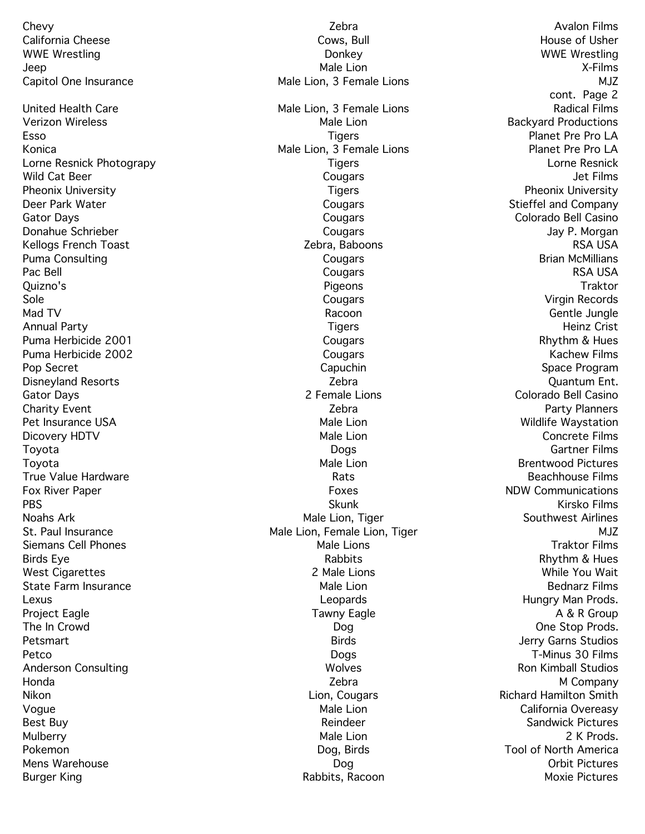Chevy Zebra Avalon Films California Cheese **Cows, Bull Cows, Bull** Cows, Bull House of Usher WWE Wrestling and the United States of the Donkey Control of the United States of the United States of the United States of the United States of the United States of the United States of the United States of the United Sta Jeep Male Lion X-Films Capitol One Insurance The Male Lion, 3 Female Lions and Multimediate Multimediate Multimediate Multimediate Mult United Health Care **Male Lion, 2 Female Lions** And Lions Radical Films Verizon Wireless **Male Lion** Male Lion Backyard Productions Esso Tigers Planet Pre Pro LA Konica **Male Lion, 3 Female Lions Male Lions** Planet Pre Pro LA Lorne Resnick Photograpy **Tigers** Tigers **Lorne Resnick** Wild Cat Beer Cougars Jet Films Pheonix University **Tigers** Pheonix University **Tigers** Pheonix University Deer Park Water **Cougars** Cougars Cougars Stieffel and Company Gator Days Cougars Colorado Bell Casino Donahue Schrieber Cougars Jay P. Morgan Kellogs French Toast November 2008 New Zebra, Baboons New York 2012 New York 2014 Puma Consulting The Cougars Cougars Cougars Cougars Brian McMillians Pac Bell Cougars RSA USA Quizno's Pigeons Traktor Sole Cougars Virgin Records Mad TV **Gentle Jungle** Annual Party Tigers Heinz Crist Puma Herbicide 2001 **Cougars** Cougars **Rhythm & Hues** Rhythm & Hues Puma Herbicide 2002 Cougars Kachew Films Pop Secret **Capuchin** Capuchin Space Program Space Program Disneyland Resorts **Zebra** Zebra **Zebra Zebra Quantum Ent.** Gator Days 2 Female Lions Colorado Bell Casino Charity Event **Charity Event** Charity Event **Zebra** Party Planners **Party Planners** Pet Insurance USA and the Male Lion Male Lion and Male Lion wildlife Waystation Dicovery HDTV Concrete Films Concrete Films Concrete Films Concrete Films Concrete Films Toyota Dogs Gartner Films Toyota Male Lion Brentwood Pictures True Value Hardware **Rational Englisher Community Community** Rats **Rational Englisher Community Reachhouse Films** Fox River Paper **Foxes** Foxes NDW Communications PBS Skunk Kirsko Films Noahs Ark Male Lion, Tiger Male Lion, Tiger Southwest Airlines St. Paul Insurance **Male Lion, Female Lion, Tiger** Multipune Multipune Multipune Multipune Multipune Multipune Mu Siemans Cell Phones **Male Lions** Male Lions Traktor Films Birds Eye Rabbits Rhythm & Hues West Cigarettes 2 Male Lions While You Wait State Farm Insurance **Male Lion** Male Lion Bednarz Films Lexus **Lexus** Leopards **Leopards Leopards Hungry Man Prods.** Project Eagle **Tawny Eagle** Tawny Eagle **Tawny Eagle** A & R Group The In Crowd Dog One Stop Prods. Petsmart Birds Jerry Garns Studios Petco **Dogs** Dogs T-Minus 30 Films Anderson Consulting The Consulting Consulting Consulting Consulting Ron Kimball Studios Ron Kimball Studios Honda Zebra M Company Nikon **Nikon** Richard Hamilton Smith Voque California Overeasy Nate Lion Male Lion California Overeasy Best Buy **Reindeer** Sandwick Pictures **Contract Pictures** Reindeer Sandwick Pictures Mulberry Male Lion 2 K Prods. Pokemon **Dog, Birds** Tool of North America Mens Warehouse **Dog Communist Pictures** Dog **Dog** Orbit Pictures

cont. Page 2 Burger King **Rabbits, Racoon Rabbits, Racoon Moxie Pictures**